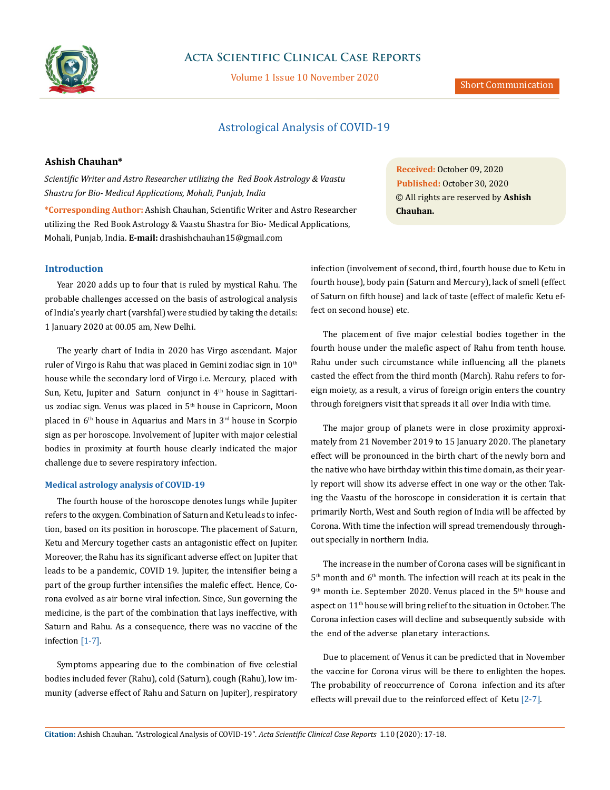

# **Acta Scientific Clinical Case Reports**

Volume 1 Issue 10 November 2020

#### Short Communication

## Astrological Analysis of COVID-19

### **Ashish Chauhan\***

*Scientific Writer and Astro Researcher utilizing the Red Book Astrology & Vaastu Shastra for Bio- Medical Applications, Mohali, Punjab, India* 

**\*Corresponding Author:** Ashish Chauhan, Scientific Writer and Astro Researcher utilizing the Red Book Astrology & Vaastu Shastra for Bio- Medical Applications, Mohali, Punjab, India. **E-mail:** [drashishchauhan15@gmail.com](mailto:drashishchauhan15%40gmail.com?subject=)

**Introduction**

Year 2020 adds up to four that is ruled by mystical Rahu. The probable challenges accessed on the basis of astrological analysis of India's yearly chart (varshfal) were studied by taking the details: 1 January 2020 at 00.05 am, New Delhi.

The yearly chart of India in 2020 has Virgo ascendant. Major ruler of Virgo is Rahu that was placed in Gemini zodiac sign in  $10<sup>th</sup>$ house while the secondary lord of Virgo i.e. Mercury, placed with Sun, Ketu, Jupiter and Saturn conjunct in  $4<sup>th</sup>$  house in Sagittarius zodiac sign. Venus was placed in 5<sup>th</sup> house in Capricorn, Moon placed in 6th house in Aquarius and Mars in 3rd house in Scorpio sign as per horoscope. Involvement of Jupiter with major celestial bodies in proximity at fourth house clearly indicated the major challenge due to severe respiratory infection.

#### **Medical astrology analysis of COVID-19**

The fourth house of the horoscope denotes lungs while Jupiter refers to the oxygen. Combination of Saturn and Ketu leads to infection, based on its position in horoscope. The placement of Saturn, Ketu and Mercury together casts an antagonistic effect on Jupiter. Moreover, the Rahu has its significant adverse effect on Jupiter that leads to be a pandemic, COVID 19. Jupiter, the intensifier being a part of the group further intensifies the malefic effect. Hence, Corona evolved as air borne viral infection. Since, Sun governing the medicine, is the part of the combination that lays ineffective, with Saturn and Rahu. As a consequence, there was no vaccine of the infection [1-7].

Symptoms appearing due to the combination of five celestial bodies included fever (Rahu), cold (Saturn), cough (Rahu), low immunity (adverse effect of Rahu and Saturn on Jupiter), respiratory

**Received:** October 09, 2020 **Published:** October 30, 2020 © All rights are reserved by **Ashish Chauhan.**

infection (involvement of second, third, fourth house due to Ketu in fourth house), body pain (Saturn and Mercury), lack of smell (effect of Saturn on fifth house) and lack of taste (effect of malefic Ketu effect on second house) etc.

The placement of five major celestial bodies together in the fourth house under the malefic aspect of Rahu from tenth house. Rahu under such circumstance while influencing all the planets casted the effect from the third month (March). Rahu refers to foreign moiety, as a result, a virus of foreign origin enters the country through foreigners visit that spreads it all over India with time.

The major group of planets were in close proximity approximately from 21 November 2019 to 15 January 2020. The planetary effect will be pronounced in the birth chart of the newly born and the native who have birthday within this time domain, as their yearly report will show its adverse effect in one way or the other. Taking the Vaastu of the horoscope in consideration it is certain that primarily North, West and South region of India will be affected by Corona. With time the infection will spread tremendously throughout specially in northern India.

The increase in the number of Corona cases will be significant in 5<sup>th</sup> month and 6<sup>th</sup> month. The infection will reach at its peak in the 9<sup>th</sup> month i.e. September 2020. Venus placed in the 5<sup>th</sup> house and aspect on 11th house will bring relief to the situation in October. The Corona infection cases will decline and subsequently subside with the end of the adverse planetary interactions.

Due to placement of Venus it can be predicted that in November the vaccine for Corona virus will be there to enlighten the hopes. The probability of reoccurrence of Corona infection and its after effects will prevail due to the reinforced effect of Ketu [2-7].